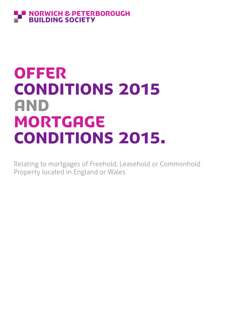# **ORWICH & PETERBOROUGH BUILDING SOCIETY**

# **OFFER** CONDITIONS 2015 and **MORTGAGE** CONDITIONS 2015.

Relating to mortgages of Freehold, Leasehold or Commonhold Property located in England or Wales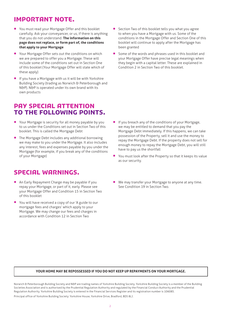# IMPORTANT NOTE.

- You must read your Mortgage Offer and this booklet carefully. Ask your conveyancer, or us, if there is anything that you do not understand. **The information on this page does not replace, or form part of, the conditions that apply to your Mortgage**
- Your Mortgage Offer sets out the conditions on which we are prepared to offer you a Mortgage. These will include some of the conditions set out in Section One of this booklet (Your Mortgage Offer will state which of these apply)
- If you have a Mortgage with us it will be with Yorkshire Building Society (trading as Norwich & Peterborough and N&P). N&P is operated under its own brand with its own products

# PAY SPECIAL ATTENTION TO THE FOLLOWING POINTS.

- Your Mortgage is security for all money payable by you to us under the Conditions set out in Section Two of this booklet. This is called the Mortgage Debt
- The Mortgage Debt includes any additional borrowing we may make to you under the Mortgage. It also includes any interest, fees and expenses payable by you under the Mortgage (for example, if you break any of the conditions of your Mortgage)

# SPECIAL WARNINGS.

- An Early Repayment Charge may be payable if you repay your Mortgage, or part of it, early. Please see your Mortgage Offer and Condition 15 in Section Two of this booklet
- You will have received a copy of our 'A guide to our mortgage fees and charges' which apply to your Mortgage. We may change our fees and charges in accordance with Condition 12 in Section Two
- Section Two of this booklet tells you what you agree to when you have a Mortgage with us. Some of the conditions in the Mortgage Offer and Section One of this booklet will continue to apply after the Mortgage has been granted
- **•** Some of the words and phrases used in this booklet and your Mortgage Offer have precise legal meanings when they begin with a capital letter. These are explained in Condition 2 in Section Two of this booklet.

- If you breach any of the conditions of your Mortgage, we may be entitled to demand that you pay the Mortgage Debt immediately. If this happens, we can take possession of the Property, sell it and use the money to repay the Mortgage Debt. If the property does not sell for enough money to repay the Mortgage Debt, you will still have to pay us the shortfall
- You must look after the Property so that it keeps its value as our security.
- We may transfer your Mortgage to anyone at any time. See Condition 19 in Section Two.

#### **YOUR HOME MAY BE REPOSSESSED IF YOU DO NOT KEEP UP REPAYMENTS ON YOUR MORTGAGE.**

Norwich & Peterborough Building Society and N&P are trading names of Yorkshire Building Society. Yorkshire Building Society is a member of the Building Societies Association and is authorised by the Prudential Regulation Authority and regulated by the Financial Conduct Authority and the Prudential Regulation Authority. Yorkshire Building Society is entered in the Financial Services Register and its registration number is 106085. Principal office of Yorkshire Building Society: Yorkshire House, Yorkshire Drive, Bradford, BD5 8LJ.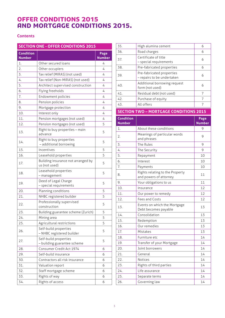# OFFER CONDITIONS 2015 AND MORTGAGE CONDITIONS 2015.

# **Contents**

| <b>SECTION ONE - OFFER CONDITIONS 2015</b> |                                                      |                       |                           |
|--------------------------------------------|------------------------------------------------------|-----------------------|---------------------------|
| <b>Condition</b><br><b>Number</b>          |                                                      | Page<br><b>Number</b> | 36.<br>37.                |
| 1.                                         | Other secured loans                                  | 4                     |                           |
| 2.                                         | Other occupiers                                      | 4                     | 38.                       |
| 3.                                         | Tax relief (MIRAS) (not used)                        | 4                     | 39.                       |
| 4.                                         | Tax relief (Non-MIRAS) (not used)                    | 4                     |                           |
| 5.                                         | Architect supervised construction                    | 4                     | 40.                       |
| 6.                                         | Flying freeholds                                     | 4                     | 41.                       |
| 7.                                         | Endowment policies                                   | 4                     | 42.                       |
| 8.                                         | Pension policies                                     | 4                     |                           |
| 9.                                         | Mortgage protection                                  | 4                     | 43.                       |
| 10.                                        | Interest only                                        | 4                     | <b>SEC</b>                |
| 11.                                        | Pension mortgages (not used)                         | 4                     | $\overline{\mathsf{Con}}$ |
| 12.                                        | Pension mortgages (not used)                         | 5                     | <b>Nun</b>                |
| 13.                                        | Right to buy properties - main<br>advance            | 5                     | 1.<br>2.                  |
| 14.                                        | Right to buy properties<br>- additional borrowing    | 5                     | 3.                        |
| 15.                                        | Incentives                                           | 5                     | 4.                        |
| 16.                                        | Leasehold properties                                 | 5                     | 5.                        |
| 17.                                        | Building insurance not arranged by<br>us (not used)  | 5                     | 6.<br>7.                  |
| 18.                                        | Leasehold properties<br>- management                 | 5                     | 8.                        |
| 19.                                        | Deed of Legal Charge<br>- special requirements       | 5                     | 9.<br>10.                 |
| 20.                                        | Planning conditions                                  | 5                     |                           |
| 21.                                        | NHBC registered builder                              | 5                     | 11.<br>12.                |
| 22.                                        | Professionally supervised<br>construction            | 5                     | 13.                       |
| 23.                                        | Building guarantee scheme (Zurich)                   | 5                     |                           |
| 24.                                        | Mining area                                          | 5                     | 14.                       |
| 25.                                        | Agricultural restrictions                            | 5                     | 15.                       |
| 26.                                        | Self-build properties<br>- NHBC registered builder   | 5                     | 16.<br>17.                |
| 27.                                        | Self-build properties<br>- building guarantee scheme | 5                     | 18.<br>19.                |
| 28.                                        | Consumer Credit Act 1974                             | 6                     | 20.                       |
| 29.                                        | Self-build insurance                                 | 6                     | 21.                       |
| 30.                                        | Contractors all risk insurance                       | 6                     | 22.                       |
| 31.                                        | Valuation report                                     | 6                     | 23.                       |
| 32.                                        | Staff mortgage scheme                                | 6                     | 24.                       |
| 33.                                        | Rights of way                                        | 6                     | 25.                       |
| 34.                                        | Rights of access                                     | 6                     | 26.                       |

| 35.                               | High alumina cement                                     | 6                     |
|-----------------------------------|---------------------------------------------------------|-----------------------|
| 36.                               | Road charges                                            | 6                     |
| 37.                               | Certificate of title<br>- special requirements          | 6                     |
| 38.                               | Pre-fabricated properties                               | 6                     |
| 39.                               | Pre-fabricated properties<br>- repairs to be undertaken | 6                     |
| 40.                               | Additional borrowing request<br>form (not used)         | 6                     |
| 41.                               | Residual debt (not used)                                | 7                     |
|                                   |                                                         |                       |
| 42.                               | Purchase of equity                                      | 7                     |
| 43.                               | All offers                                              | 7                     |
|                                   | <b>SECTION TWO - MORTGAGE CONDITIONS 2015</b>           |                       |
| <b>Condition</b><br><b>Number</b> |                                                         | Page<br><b>Number</b> |
| $\mathbf{1}$ .                    | About these conditions                                  | 9                     |
| 2.                                | Meanings of particular words<br>and phrases             | 9                     |
| 3.                                | The Rules                                               | 9                     |
| 4.                                | The Security                                            | 9                     |

|     | THE JEEDHILY                                              |    |
|-----|-----------------------------------------------------------|----|
| 5.  | Repayment                                                 | 10 |
| 6.  | Interest                                                  | 10 |
| 7.  | Payments                                                  | 10 |
| 8.  | Rights relating to the Property<br>and powers of attorney | 11 |
| 9.  | Your obligations to us                                    | 11 |
| 10. | Insurance                                                 | 12 |
| 11. | Our power to remedy                                       | 12 |
| 12. | Fees and Costs                                            | 12 |
| 13. | Events on which the Mortgage<br>Debt becomes payable      | 13 |
| 14. | Consolidation                                             | 13 |
| 15. | Redemption                                                | 13 |
| 16. | Our remedies                                              | 13 |
| 17. | Mistakes                                                  | 13 |
| 18. | Furniture etc                                             | 14 |
| 19. | Transfer of your Mortgage                                 | 14 |
| 20. | Joint borrowers                                           | 14 |
| 21. | General                                                   | 14 |
| 22. | <b>Notices</b>                                            | 14 |
| 23. | Rights of third parties                                   | 14 |
| 24. | Life assurance                                            | 14 |
| 25. | Separate terms                                            | 14 |
| 26. | Governing law                                             | 14 |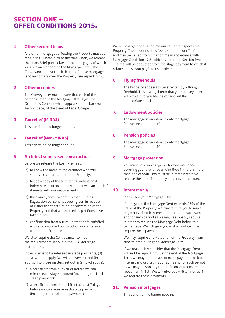# SECTION ONE – OFFER CONDITIONS 2015.

#### **1. Other secured loans**

 Any other mortgages affecting the Property must be repaid in full before, or at the time when, we release the Loan. Brief particulars of the mortgages of which we are aware appear in the Mortgage Offer. The Conveyancer must check that all of these mortgages (and any others over the Property) are repaid in full.

#### **2. Other occupiers**

 The Conveyancer must ensure that each of the persons listed in the Mortgage Offer signs the Occupier's Consent which appears on the back (or second page) of the Deed of Legal Charge.

# **3. Tax relief (MIRAS)**

This condition no longer applies.

# **4. Tax relief (Non-MIRAS)**

This condition no longer applies.

# **5. Architect supervised construction**

Before we release the Loan, we need:

- (a) to know the name of the architect who will supervise construction of the Property;
- (b) to see a copy of the architect's professional indemnity insurance policy so that we can check if it meets with our requirements;
- (c) the Conveyancer to confirm that Building Regulation consent has been given in respect of either the construction or conversion of the Property and that all required inspections have taken place;
- (d) confirmation from our valuer that he is satisfied with all completed construction or conversion work to the Property.

 We also require the Conveyancer to meet the requirements set out in the BSA Mortgage Instructions.

 If the Loan is to be released in stage payments, (d) above will not apply. We will, however, need (in addition to those matters set out in (a) to (c) above):

- (e) a certificate from our valuer before we can release each stage payment (including the final stage payment);
- (f) a certificate from the architect at least 7 days before we can release each stage payment (including the final stage payment).

We will charge a fee each time our valuer reinspects the Property. The amount of this fee is set out in our Tariff and may be varied from time to time in accordance with Mortgage Condition 12.5 (which is set out in Section Two.) The fee will be deducted from the stage payment to which it relates unless you pay it to us in advance.

# **6. Flying freeholds**

 The Property appears to be affected by a flying freehold. This is a legal term that your conveyancer will explain to you having carried out the appropriate checks.

# **7. Endowment policies**

 The mortgage is an interest-only mortgage. Please see condition 10.

# **8. Pension policies**

 The mortgage is an interest-only mortgage. Please see condition 10.

# **9. Mortgage protection**

 You must have mortgage protection insurance covering your life (or your joint lives if there is more than one of you). This must be in force before we release the Loan. The policy must cover the Loan.

# **10. Interest only**

Please see your Mortgage Offer.

 If at anytime the Mortgage Debt exceeds 95% of the value of the Property, we may require you to make payments of both interest and capital in such sums and for such period as we may reasonably require in order to reduce the Mortgage Debt below this percentage. We will give you written notice if we require these payments.

 We may require a re-valuation of the Property from time to time during the Mortgage Term.

 If we reasonably consider that the Mortgage Debt will not be repaid in full at the end of the Mortgage Term, we may require you to make payments of both interest and capital in such sums and for such period as we may reasonably require in order to ensure repayment in full. We will give you written notice if we require these payments.

# **11. Pension mortgages**

This condition no longer applies.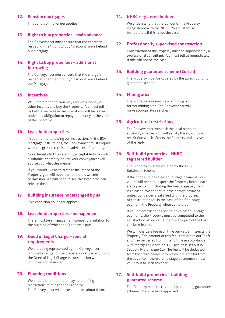#### **12. Pension mortgages**

This condition no longer applies.

#### **13. Right to buy properties – main advance**

 The Conveyancer must ensure that the charge in respect of the "Right to Buy" discount ranks behind our Mortgage.

#### **14. Right to buy properties – additional borrowing**

 The Conveyancer must ensure that the charge in respect of the "Right to Buy" discount ranks behind our Mortgage.

# **15. Incentives**

 We understand that you may receive a money or other incentive to buy the Property. You must tell us before we release the Loan if you will be placed under any obligation to repay the money or the value of the incentive.

#### **16. Leasehold properties**

 In addition to following our instructions in the BSA Mortgage Instructions, the Conveyancer must enquire what the ground rent is and advise us of the reply.

 Good leasehold titles are only acceptable to us with a suitable indemnity policy. Your conveyancer will advise you what this means.

 If you would like us to arrange insurance of the Property, you will need the landlord's written permission. We will need to see this before we can release the Loan.

#### **17. Building insurance not arranged by us**

This condition no longer applies.

#### **18. Leasehold properties – management**

 There must be a management company in relation to the building of which the Property is part.

#### **19. Deed of Legal Charge – special requirements**

 We are being represented by the Conveyancer who will arrange for the preparation and execution of the Deed of Legal Charge in consultation with your own conveyancer.

#### **20. Planning conditions**

 We understand that there may be planning restrictions relating to the Property. The Conveyancer will make enquiries about them.

#### **21. NHBC registered builder**

 We understand that the builder of the Property is registered with the NHBC. You must tell us immediately if this is not the case.

#### **22. Professionally supervised construction**

 Construction of the Property must be supervised by a professional consultant. You must tell us immediately if this will not be the case.

#### **23. Building guarantee scheme (Zurich)**

 The Property must be covered by the Zurich building guarantee scheme.

#### **24. Mining area**

 The Property is or may be in a mining or former mining area. The Conveyancer will make appropriate searches.

#### **25. Agricultural restrictions**

 The Conveyancer must ask the local planning authority whether you will satisfy the agricultural restriction which affects the Property and advise us of the reply.

# **26. Self-build properties – NHBC registered builder**

 The Property must be covered by the NHBC Buildmark Scheme.

 If the Loan is to be released in stage payments, our valuer will need to inspect the Property before each stage payment (including the final stage payment) is released. We cannot release a stage payment unless our valuer is satisfied with the progress of construction (or, in the case of the final stage payment, the Property when complete).

 If you do not wish the Loan to be released in stage payments, the Property must be completed to the satisfaction of our valuer before any part of the Loan can be released.

 We will charge a fee each time our valuer inspects the Property. The amount of this fee is set out in our Tariff and may be varied from time to time in accordance with Mortgage Condition 12.5 (which is set out in Section Two on page 12). The fee will be deducted from the stage payment to which it relates (or from the advance if there are no stage payments) unless you pay it to us in advance.

# **27. Self-build properties – building guarantee scheme**

 The Property must be covered by a building guarantee scheme which we have approved.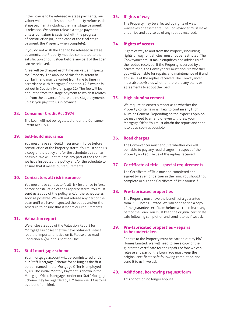If the Loan is to be released in stage payments, our valuer will need to inspect the Property before each stage payment (including the final stage payment) is released. We cannot release a stage payment unless our valuer is satisfied with the progress of construction (or, in the case of the final stage payment, the Property when complete).

 If you do not wish the Loan to be released in stage payments, the Property must be completed to the satisfaction of our valuer before any part of the Loan can be released.

 A fee will be charged each time our valuer inspects the Property. The amount of this fee is setout in our Tariff and may be varied from time to time in accordance with Mortgage Condition 12.5 (which is set out in Section Two on page 12). The fee will be deducted from the stage payment to which it relates (or from the advance if there are no stage payments) unless you pay it to us in advance.

#### **28. Consumer Credit Act 1974**

 The Loan will not be regulated under the Consumer Credit Act 1974.

#### **29. Self-build insurance**

 You must have self-build insurance in force before construction of the Property starts. You must send us a copy of the policy and/or the schedule as soon as possible. We will not release any part of the Loan until we have inspected the policy and/or the schedule to ensure that it meets our requirements.

#### **30. Contractors all risk insurance**

 You must have contractor's all risk insurance in force before construction of the Property starts. You must send us a copy of the policy and/or the schedule as soon as possible. We will not release any part of the Loan until we have inspected the policy and/or the schedule to ensure that it meets our requirements.

# **31. Valuation report**

 We enclose a copy of the Valuation Report for Mortgage Purposes that we have obtained. Please read the important notice on it. Please also read Condition 43(h) in this Section One.

# **32. Staff mortgage scheme**

 Your mortgage account will be administered under our Staff Mortgage Scheme for as long as the first person named in the Mortgage Offer is employed by us. The initial Monthly Payment is shown in the Mortgage Offer. Mortgages under our Staff Mortgage Scheme may be regarded by HM Revenue & Customs as a benefit in kind.

#### **33. Rights of way**

 The Property may be affected by rights of way, wayleaves or easements. The Conveyancer must make enquiries and advise us of any replies received.

# **34. Rights of access**

 Rights of way to and from the Property (including rights of way for vehicles) must not be restricted. The Conveyancer must make enquiries and advise us of the replies received. If the Property is served by a private road, the Conveyancer must enquire whether you will be liable for repairs and maintenance of it and advise us of the replies received. The Conveyancer must also advise us whether there are any plans or agreements to adopt the road.

# **35. High alumina cement**

 We require an expert's report as to whether the Property contains or is likely to contain any High Alumina Cement. Depending on the expert's opinion, we may need to amend or even withdraw your Mortgage Offer. You must obtain the report and send it to us as soon as possible.

# **36. Road charges**

 The Conveyancer must enquire whether you will be liable to pay any road charges in respect of the Property and advise us of the replies received.

# **37. Certificate of title – special requirements**

 The Certificate of Title must be completed and signed by a senior partner in the firm. You should not complete or sign the Certificate of Title yourself.

# **38. Pre-fabricated properties**

 The Property must have the benefit of a guarantee from PRC Homes Limited. We will need to see a copy of the guarantee certificate before we can release any part of the Loan. You must keep the original certificate safe following completion and send it to us if we ask.

#### **39. Pre-fabricated properties – repairs to be undertaken**

 Repairs to the Property must be carried out by PRC Homes Limited. We will need to see a copy of the guarantee certificate for the repairs before we can release any part of the Loan. You must keep the original certificate safe following completion and send it to us if we ask.

#### **40. Additional borrowing request form**

This condition no longer applies.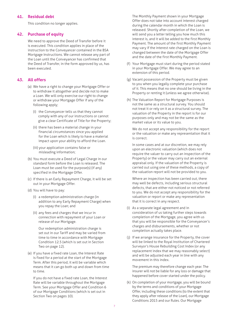# **41. Residual debt**

This condition no longer applies.

# **42. Purchase of equity**

 We need to approve the Deed of Transfer before it is executed. This condition applies in place of the instruction to the Conveyancer contained in the BSA Mortgage Instructions. We cannot release any part of the Loan until the Conveyancer has confirmed that the Deed of Transfer, in the form approved by us, has been executed.

# **43. All offers**

- (a) We have a right to change your Mortgage Offer or to withdraw it altogether and decide not to make a Loan. We will only exercise our right to change or withdraw your Mortgage Offer if any of the following apply;
	- (i) the Conveyancer tells us that they cannot comply with any of our instructions or cannot give a clear Certificate of Title for the Property;
	- (ii) there has been a material change in your financial circumstances since you applied for the Loan which is likely to have a material impact upon your ability to afford the Loan.
	- (iii) your application contains false or misleading information;
- (b) You must execute a Deed of Legal Charge in our standard form before the Loan is released. The Loan must be used for the purpose(s) (if any) specified in the Mortgage Offer.
- (c) If there is an Early Repayment Charge, it will be set out in your Mortgage Offer.
- (d) You will have to pay:
	- (i) a redemption administration charge (in addition to any Early Repayment Charge) when you repay the Loan; and
	- (ii) any fees and charges that we incur in connection with repayment of your Loan or release of our Mortgage.

 Our redemption administration charge is set out in our Tariff and may be varied from time to time in accordance with Mortgage Condition 12.5 (which is set out in Section Two on page 12).

 (e) If you have a fixed rate Loan, the Interest Rate is fixed for a period at the start of the Mortgage Term. After this period, it will be variable which means that it can go both up and down from time to time.

 If you do not have a fixed rate Loan, the Interest Rate will be variable throughout the Mortgage Term. See your Mortgage Offer and Condition 6 of our Mortgage Conditions (which is set out in Section Two on pages 10).

 The Monthly Payment shown in your Mortgage Offer does not take into account interest charged during the calendar month in which the Loan is released. Shortly after completion of the Loan, we will send you a letter telling you how much this interest is, and it will be added to the first Monthly Payment. The amount of the first Monthly Payment may vary if the interest rate charged on the Loan is changed between the date of the Mortgage Offer and the date of the first Monthly Payment.

- (f) Your Mortgage must start during the period stated in your Mortgage Offer. We may agree to an extension of this period.
- (g) Vacant possession of the Property must be given to you when you legally complete your purchase of it. This means that no one should be living in the Property or renting it (unless we agree otherwise).
- (h) The Valuation Report for Mortgage Purposes is not the same as a structural survey. You should not treat it or rely on it as a structural survey. The valuation of the Property in the report is for our purposes only and may not be the same as the market value or its value to you.

 We do not accept any responsibility for the report or the valuation or make any representation that it is correct.

 In some cases and at our discretion, we may rely upon an electronic valuation (which does not require the valuer to carry out an inspection of the Property) or the valuer may carry out an external appraisal only. If the valuation of the Property is carried out using one of these methods, a copy of the valuation report will not be provided to you.

 Where an inspection has been carried out, there may well be defects, including serious structural defects, that are either not noticed or not referred to you. We do not accept any responsibility for the valuation or report or make any representation that it is correct in any respect.

- (i) As a separate legal agreement and in consideration of us taking further steps towards completion of the Mortgage, you agree with us that you will be responsible for the Conveyancer's charges and disbursements, whether or not completion actually takes place.
- (j) If we arrange insurance for the Property, the cover will be linked to the Royal Institution of Chartered Surveyor's House Rebuilding Cost Index (or any replacement index that we may reasonably select) and will be adjusted each year in line with any movement in this index.

 The premium may therefore change each year. The insurer will not be liable for any loss or damage that happened before cover started under the policy.

 (k) On completion of your mortgage, you will be bound by the terms and conditions of your Mortgage Offer, including these conditions (to the extent that they apply after release of the Loan), our Mortgage Conditions 2015 and our Rules. Our Mortgage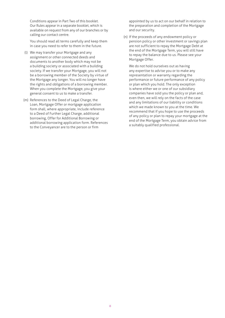Conditions appear in Part Two of this booklet. Our Rules appear in a separate booklet, which is available on request from any of our branches or by calling our contact centre.

 You should read all terms carefully and keep them in case you need to refer to them in the future.

- (l) We may transfer your Mortgage and any assignment or other connected deeds and documents to another body which may not be a building society or associated with a building society. If we transfer your Mortgage, you will not be a borrowing member of the Society by virtue of the Mortgage any longer. You will no longer have the rights and obligations of a borrowing member. When you complete the Mortgage, you give your general consent to us to make a transfer.
- (m) References to the Deed of Legal Charge, the Loan, Mortgage Offer or mortgage application form shall, where appropriate, include reference to a Deed of Further Legal Charge, additional borrowing, Offer for Additional Borrowing or additional borrowing application form. References to the Conveyancer are to the person or firm

appointed by us to act on our behalf in relation to the preparation and completion of the Mortgage and our security.

 (n) If the proceeds of any endowment policy or pension policy or other investment or savings plan are not sufficient to repay the Mortgage Debt at the end of the Mortgage Term, you will still have to repay the balance due to us. Please see your Mortgage Offer.

 We do not hold ourselves out as having any expertise to advise you or to make any representation or warranty regarding the performance or future performance of any policy or plan which you hold. The only exception is where either we or one of our subsidiary companies have sold you the policy or plan and, even then, we will rely on the facts of the case and any limitations of our liability or conditions which we made known to you at the time. We recommend that if you hope to use the proceeds of any policy or plan to repay your mortgage at the end of the Mortgage Term, you obtain advice from a suitably qualified professional.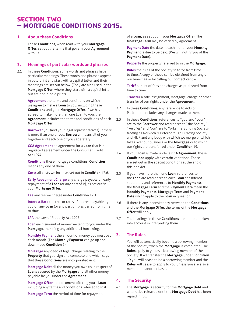# SECTION TWO – MORTGAGE CONDITIONS 2015.

#### **1. About these Conditions**

 These **Conditions**, when read with your **Mortgage Offer**, set out the terms that govern your **Agreement** with us.

#### **2. Meanings of particular words and phrases**

2.1 In these **Conditions**, some words and phrases have particular meanings. These words and phrases appear in bold print and start with a capital letter and their meanings are set out below. (They are also used in the **Mortgage Offer,** where they start with a capital letter but are not in bold print).

> **Agreement** the terms and conditions on which we agree to make a **Loan** to you, including these **Conditions** and your **Mortgage Offer**. If we have agreed to make more than one Loan to you, the **Agreement** includes the terms and conditions of each **Mortgage Offer.**

 **Borrower** you (and your legal representatives). If there is more than one of you, **Borrower** means all of you together and each one of you separately.

 **CCA Agreement** an agreement for a **Loan** that is a regulated agreement under the Consumer Credit Act 1974.

 **Conditions** these mortgage conditions. **Condition** means any one of them.

 **Costs** all costs we incur, as set out in **Condition** 12.6.

 **Early Repayment Charge** any charge payable on early repayment of a **Loan** (or any part of it), as set out in your **Mortgage Offer**.

 **Fee** any fee we charge under **Condition** 12.1.

 **Interest Rate** the rate or rates of interest payable by you on any **Loan** (or any part of it) as varied from time to time.

 **LPA** the Law of Property Act 1925.

 **Loan** each amount of money we lend to you under the **Mortgage**, including any additional borrowing.

 **Monthly Payment** the amount of money you must pay each month. (The **Monthly Payment** can go up and down – see **Condition** 5).

 **Mortgage** any deed of legal charge relating to the **Property** that you sign and complete and which says that these **Conditions** are incorporated in it.

 **Mortgage Debt** all the money you owe us in respect of **Loans** secured by the **Mortgage** and all other money payable by you under the **Agreement**.

 **Mortgage Offer** the document offering you a **Loan**  including any terms and conditions referred to in it.

**Mortgage Term** the period of time for repayment

of a **Loan,** as set out in your **Mortgage Offer**. The **Mortgage Term** may be varied by agreement.

 **Payment Date** the date in each month your **Monthly Payment** is due to be paid. (We will notify you of the **Payment Date**).

**Property** the property referred to in the **Mortgage.**

 **Rules** the rules of the Society in force from time to time. A copy of these can be obtained from any of our branches or by calling our contact centre.

 **Tariff** our list of fees and charges as published from time to time.

 **Transfer** a sale, assignment, mortgage, charge or other transfer of our rights under the **Agreement.**

- 2.2 In these **Conditions**, any reference to Acts of Parliament includes any changes made to them.
- 2.3 In these **Conditions**, references to "you and "your" are to the **Borrower** and references to "the Society", "we", "us" and "our" are to Yorkshire Building Society trading as Norwich & Peterborough Building Society and N&P and any body with which we merge or which takes over our business or the **Mortgage** or to which our rights are transferred under **Condition** 19.
- 2.4 If your **Loan** is made under a **CCA Agreement**, these **Conditions** apply with certain variations. These are set out in the special conditions at the end of this booklet.
- 2.5 If you have more than one **Loan**, references to the **Loan** are references to each **Loan** considered seperately and references to **Monthly Payments**, the **Mortgage Term** and the **Payment Date** mean the **Monthly Payments**, **Mortgage Term** and **Payment Date** which apply to the **Loan** in question.
- 2.6 If there is any inconsistency between the **Conditions**  and the **Mortgage Offer**, the terms of the **Mortgage Offer** will apply.
- 2.7 The headings in these **Conditions** are not to be taken into account in interpreting them.

# **3. The Rules**

 You will automatically become a borrowing member of the Society when the **Mortgage** is completed. The **Rules** apply to you as a borrowing member of the Society. If we transfer the **Mortgage** under **Condition** 19 you will cease to be a borrowing member and the **Rules** will cease to apply to you unless you are also a member on another basis.

# **4. The Security**

4.1 The **Mortgage** is security for the **Mortgage Debt** and will not be released until the **Mortgage Debt** has been repaid in full.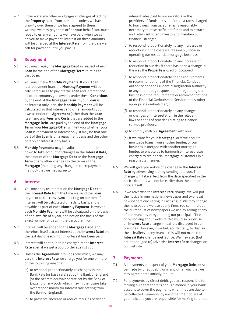4.2 If there are any other mortgages or charges affecting the **Property** apart from ours then, unless we have priority over them or we have agreed to them in writing, we may pay them off on your behalf. You must repay to us any amounts we have paid when we call on you to make payment. Interest on these amounts will be charged at the **Interest Rate** from the date we call for payment until you pay us.

# **5. Repayment**

- 5.1 You must repay the **Mortgage Debt** in respect of each **Loan** by the end of the **Mortgage Term** relating to that **Loan**.
- 5.2 You must make **Monthly Payments**. If your **Loan** is a repayment loan, the **Monthly Payment** will be calculated so as to pay off the **Loan** and interest and all other amounts you owe us under these **Conditions** by the end of the **Mortgage Term**. If your **Loan** is an interest only loan, the **Monthly Payment** will be calculated so that interest and other amounts you owe us under the **Agreement** (other than the **Loan**  itself and any **Fees** and **Costs** that are added to the **Mortgage Debt**) are paid by the end of the **Mortgage Term**. Your **Mortgage Offer** will tell you whether your **Loan** is repayment or interest only. It may be that one part of the **Loan** is on a repayment basis and the other part on an interest-only basis.
- 5.3 **Monthly Payments** may be adjusted either up or down to take account of changes in the **Interest Rate**, the amount of the **Mortgage Debt** or the **Mortgage Term** or any other changes to the terms of the **Mortgage** (including any change in the repayment method) that we may agree to.

# **6. Interest**

- 6.1 You must pay us interest on the **Mortgage Debt** at the **Interest Rate** from the time we send the **Loan** to you or to the conveyancer acting on our behalf. Interest will be calculated on a daily basis, and is payable as part of each **Monthly Payment**. However, each **Monthly Payment** will be calculated on the basis of one-twelfth of a year, and not on the basis of the exact number of days in the particular month.
- 6.2 Interest will be added to the **Mortgage Debt** (and therefore itself attract interest at the **Interest Rate**) on the last day of each month, unless it has been paid.
- 6.3 Interest will continue to be charged at the **Interest Rate** even if we get a court order against you.
- 6.4 Unless the **Agreement** provides otherwise, we may vary the **Interest Rate** we charge you for one or more of the following reasons:
	- (a) to respond, proportionately, to changes in the Bank Rate (or base rate) set by the Bank of England (or the nearest equivalent rate set by the Bank of England or any body which may in the future take over responsibility for interest rate setting from the Bank of England);
	- (b) to preserve, increase or reduce margins between

interest rates paid to our investors or the providers of funds to us and interest rates charged to borrowers from us, so far as is reasonably necessary to raise sufficient funds and to attract and retain sufficient investors to maintain our financial strength;

- (c) to respond, proportionately, to any increases or reductions in the costs we reasonably incur in operating our residential mortgage business;
- (d) to respond, proportionately, to any increase or reduction in our risk if there has been a change in the way the **Property** is used or occupied;
- (e) to respond, proportionately, to the requirements or recommendations of the Financial Conduct Authority and the Prudential Regulation Authority or any other body responsible for regulating our business or the requirements or recommendations of the Financial Ombudsman Service or any other appropriate ombudsman;
- (f) to respond, proportionately, to any changes, or changes of interpretation, in the relevant laws or codes of practice relating to financial service providers;
- (g) to comply with our **Agreement** with you;
- (h) if we transfer your **Mortgage**, or if we acquire mortgage loans from another lender, or our business is merged with another mortgage lender, to enable us to harmonise interest rates charged to residential mortgage customers in a reasonable manner.
- 6.5 We will give you notice of a change in the **Interest Rate** by advertising it or by sending it to you. The change will take effect from the date specified in the notice (but this will not be earlier than the date of the notice itself).
- 6.6 If we advertise the **Interest Rate** change, we will put the notice in one national newspaper and two local newspapers circulating in East Anglia. We may change the newspapers we use at any time. You can find out the current list of newspapers we use by asking at any of our branches or by phoning our principal office or by looking at our website. We will also publicise an **Interest Rate** change in leaflets displayed in our branches. However, if we fail, accidentally, to display these leaflets in any branch, this will not make the **Interest Rate** change ineffective. We may also (but are not obliged to) advertise **Interest Rate** changes on our website.

# **7. Payments**

- 7.1 All payments in respect of your **Mortgage Debt** must be made by direct debit, or in any other way that we may agree or reasonably require.
- 7.2 For payments by direct debit, you are responsible for making sure that there is enough money in your bank account to cover the payments when they are due to be collected. Payments by any other method are at your risk, and you are responsible for making sure that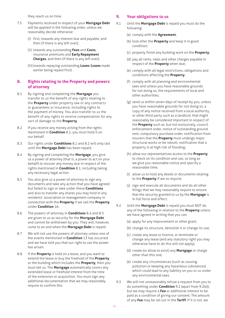they reach us on time.

- 7.3 Payments received in respect of your **Mortgage Debt** will be applied in the following order, unless we reasonably decide otherwise:
	- (i) first, towards any interest due and payable, and then (if there is any left over);
	- (ii) towards any outstanding **Fees** and **Costs**, insurance premiums and **Early Repayment Charges**, and then (if there is any left over);
	- (iii) towards repaying outstanding **Loans** (**Loans** made earlier being repaid first).

# **8. Rights relating to the Property and powers of attorney**

- 8.1 By signing and completing the **Mortgage** you transfer to us the benefit of any rights relating to the **Property** under property law or any contracts or guarantees or insurance, including rights to the payment of money. You also transfer to us the benefit of any rights to receive compensation for any sort of damage to the **Property**.
- 8.2 If you receive any money arising from the rights mentioned in **Condition** 8.1, you must hold it on our behalf.
- 8.3 Our rights under **Conditions** 8.1 and 8.2 will only last until the **Mortgage Debt** has been repaid.
- 8.4 By signing and completing the **Mortgage**, you give us a power of attorney (that is, a power to act on your behalf) to recover any money due in respect of the rights mentioned in **Condition** 8.1, including taking any necessary legal action.
- 8.5 You also give us a power of attorney to sign any documents and take any action that you have agreed but failed to sign or take under these **Conditions** and also to transfer any shares you may hold in any residents' association or management company in connection with the **Property** if we sell the **Property** under **Condition** 16.
- 8.6 The powers of attorney in **Conditions** 8.4 and 8.5 are given to us as security for the **Mortgage Debt** and cannot be withdrawn by you. They will, however, come to an end when the **Mortgage Debt** is repaid.
- 8.7 We will not use the powers of attorney unless one of the events mentioned in **Condition** 13 has occurred and we have told you that our right to use the power has arisen.
- 8.8 If the **Property** is held on a lease, and you want to extend the lease or buy the freehold of the **Property** or the building which includes the **Property**, then you must tell us. The **Mortgage** automatically covers any extended lease or freehold interest from the time of the extension or acquisition. You must sign any additional documentation that we may reasonably require to confirm this.

# **9. Your obligations to us**

- 9.1 Until the **Mortgage Debt** is repaid you must do the following:
	- (a) comply with the **Agreement**;
	- (b) look after the **Property** and keep it in good condition;
	- (c) properly finish any building work on the **Property**;
	- (d) pay all rents, rates and other charges payable in respect of the **Property** when due;
	- (e) comply with all legal restrictions, obligations and conditions affecting the **Property**;
	- (f) comply with all planning and environmental laws and unless you have reasonable grounds for not doing so, the requirements of local and other authorities;
	- (g) send us within seven days of receipt by you, unless you have reasonable grounds for not doing so, a copy of any notice received from a local authority, or other third party such as a landlord, that might reasonably be considered important in respect of the **Property** such as, but not exclusively, council enforcement order, notice of outstanding ground rent, compulsory purchase order, notification from insurers that the **Property** must undergo major structural works or be rebuilt, notification that a property is at high risk of flooding;
	- (h) allow our representatives access to the **Property** to check on its condition and use, so long as we give you reasonable notice and specify a reasonable time;
	- (i) allow us to hold any deeds or documents relating to the **Property** if we so require;
	- (j) sign and execute all documents and do all other things that we may reasonably require to ensure that the security granted to us by the **Mortgage** is in full force and effect.
- 9.2 Until the **Mortgage Debt** is repaid you must NOT do any of the following in relation to the **Property** unless we have agreed in writing that you can:
	- (a) apply for any improvement or other grant;
	- (b) change its structure, demolish it or change its use;
	- (c) create any lease or licence, or terminate or change any lease (and any statutory right you may otherwise have to do this will not apply);
	- (d) create (or allow to exist) any **Mortgage** or charge other than this one;
	- (e) create any circumstances (such as causing pollution or keeping any hazardous substances) which could lead to any liability on you or us under any environmental laws.
- 9.3 We will not unreasonably refuse a request from you to do something under **Condition** 9.2 (apart from 9.2(e)), but we may require a **Fee** or additional interest to be paid as a condition of giving our consent. The amount of any **Fee** may be set out in the **Tariff**. If it is not, we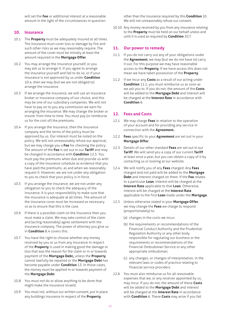will set the **Fee** or additional interest at a reasonable amount in the light of the circumstances in question.

#### **10. Insurance**

- 10.1 The **Property** must be adequately insured at all times. The insurance must cover loss or damage by fire and such other risks as we may reasonably require. The amount of the cover must be initially at least the amount required in the **Mortgage Offer**.
- 10.2 You may arrange the insurance yourself, or you may ask us to arrange it. If you agree to arrange the insurance yourself and fail to do so, or if your insurance is not approved by us under **Condition** 10.4, then we may (but we are not obliged to) arrange the insurance.
- 10.3 If we arrange the insurance, we will use an insurance broker or insurance company of our choice, and this may be one of our subsidiary companies. We will not have to pay on to you any commission we earn for arranging the insurance. We may change the broker or insurer from time to time. You must pay (or reimburse us for the cost of) the premiums.
- 10.4 If you arrange the insurance, then the insurance company and the terms of the policy must be approved by us. Our interest must be noted on the policy. We will not unreasonably refuse our approval, but we may charge you a **Fee** for checking the policy. The amount of the **Fee** is set out in our **Tariff** and may be changed in accordance with **Condition** 12.5. You must pay the premiums when due and provide us with a copy of the insurance schedule as evidence that you have paid the premiums, as and when we reasonably request it. However, we are not under any obligation to you to check that your policy is in force.
- 10.5 If you arrange the insurance, we are not under any obligation to you to check the adequacy of the insurance. It is your responsibility to make sure that the insurance is adequate at all times. The amount of the insurance cover must be increased as necessary so as to ensure that this is the case.
- 10.6 If there is a possible claim on the insurance then you must make a claim. We may take control of the claim and (acting reasonably) agree settlement with the insurance company. The power of attorney you give us in **Condition** 8.4 covers this.
- 10.7 You have the right to choose whether any money received by you or us from any insurance in respect of the **Property** is used in making good the damage or loss that was the reason for the claim or in or towards payment of the **Mortgage Debt,** unless the **Property** cannot lawfully be repaired or the **Mortgage Debt** has become payable under **Condition** 13. In those cases, the money must be applied in or towards payment of the **Mortgage Debt**.
- 10.8 You must not do or allow anything to be done that might make the insurance invalid.
- 10.9 You must not, without our written consent, put in place any buildings insurance in respect of the **Property**,

other than the insurance required by this **Condition** 10. We will not unreasonably refuse our consent.

10.10 Any money received by you from any insurance relating to the **Property** must be held on our behalf unless and until it is used as required by **Condition** 10.7.

# **11. Our power to remedy**

- 11.1 If you do not carry out any of your obligations under the **Agreement**, we may (but we do not have to) carry it out. For this purpose we may have reasonable access to the **Property**. If we have access this does not mean we have taken possession of the **Property**.
- 11.2 If we incur any **Costs** as a result of our acting under **Condition** 11.1, you must reimburse us as soon as we ask you to. If you do not, the amount of the **Costs** will be added to the **Mortgage Debt** and interest will be charged at the **Interest Rate** in accordance with **Condition** 6.

#### **12. Fees and Costs**

- 12.1 We may charge **Fees** in relation to the operation of your account and for providing any service in connection with the **Agreement.**
- 12.2 **Fees** specific to your **Agreement** are set out in your **Mortgage Offer**.
- 12.3 Details of our other standard **Fees** are set out in our **Tariff**. We will send you a copy of our current **Tariff** at least once a year, but you can obtain a copy of it by contacting us or looking at our website.
- 12.4 We will notify you of any **Fees** charged. Any **Fees** charged and not paid will be added to the **Mortgage Debt** and interest charged on them. If the **Fee** relates to a particular **Loan**, interest will be charged at the **Interest Rate** applicable to that **Loan**. Otherwise, interest will be charged at the **Interest Rate** applicable to the first **Loan** made under the **Mortgage**.
- 12.5 Unless otherwise stated in your **Mortgage Offer**, we may change the **Fees** we charge to respond (proportionately) to:
	- (a) changes in the costs we incur;
	- (b) the requirements or recommendations of the Financial Conduct Authority and the Prudential Regulation Authority or any other body responsible for regulating our business or the requirements or recommendations of the Financial Ombudsman Service or any other appropriate ombudsman;
	- (c) any changes, or changes of interpretation, in the relevant laws or codes of practice relating to financial service providers.
- 12.6 You must also reimburse us for all reasonable expenses that we, or any receiver appointed by us, may incur. If you do not, the amount of these **Costs** will be added to the **Mortgage Debt** and interest will be charged at the **Interest Rate** in accordance with **Condition** 6. These **Costs** may arise if you fail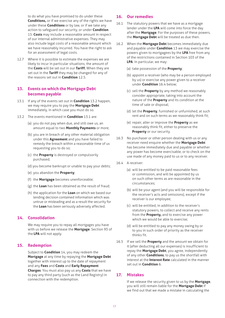to do what you have promised to do under these **Conditions,** or if we exercise any of the rights we have under these **Conditions** or by law, or if we take any action to safeguard our security, or under **Condition** 15. **Costs** may include a reasonable amount in respect of our internal administrative expenses. They may also include legal costs of a reasonable amount which we have reasonably incurred. You have the right to ask for an assessment of legal costs.

12.7 Where it is possible to estimate the expenses we are likely to incur in particular situations, the amount of the **Costs** will be set out in our **Tariff.** When they are set out in the **Tariff** they may be changed for any of the reasons set out in **Condition** 12.5.

# **13. Events on which the Mortgage Debt becomes payable**

- 13.1 If any of the events set out in **Condition** 13.2 happen, we may require you to pay the **Mortgage Debt**  immediately, in which case you must do so.
- 13.2 The events mentioned in **Condition** 13.1 are:
	- (a) you do not pay when due, and still owe us, an amount equal to two **Monthly Payments** or more;
	- (b) you are in breach of any other material obligation under this **Agreement** and you have failed to remedy the breach within a reasonable time of us requesting you to do so;
	- (c) the **Property** is destroyed or compulsorily purchased;
	- (d) you become bankrupt or unable to pay your debts;
	- (e) you abandon the **Property**;
	- (f) the **Mortgage** becomes unenforceable;
	- (g) the **Loan** has been obtained as the result of fraud;
	- (h) the application for the **Loan** on which we based our lending decision contained information which was untrue or misleading and as a result the security for the **Loan** has been seriously adversely affected.

# **14. Consolidation**

 We may require you to repay all mortgages you have with us before we release the **Mortgage**. Section 93 of the **LPA** will not apply.

# **15. Redemption**

 Subject to **Condition** 14, you may redeem the **Mortgage** at any time by repaying the **Mortgage Debt** together with interest up to the date of repayment and any **Fees** and **Costs** and **Early Repayment Charges**. You must also pay us any **Costs** that we have to pay any third party (such as the Land Registry) in connection with the redemption.

#### **16. Our remedies**

- 16.1 The statutory powers that we have as a mortgage lender under the **LPA** will come into force the day after the **Mortgage**. For the purposes of these powers, the **Mortgage Debt** will be treated as due then.
- 16.2 When the **Mortgage Debt** becomes immediately due and payable under **Condition** 13 we may exercise the powers given to mortgagees by the **LPA** free from any of the restrictions contained in Section 103 of the **LPA**. In particular, we may:
	- (a) take possession of the **Property**;
	- (b) appoint a receiver (who may be a person employed by us) or exercise any power given to a receiver under **Condition** 16.4 below;
	- (c) sell the **Property** by any method we reasonably consider appropriate, taking into account the nature of the **Property** and its condition at the time of sale or disposal;
	- (d) let the **Property**, furnished or unfurnished, at such rent and on such terms as we reasonably think fit;
	- (e) repair, alter or improve the **Property** as we reasonably think fit, either to preserve the **Property** or our security.
- 16.3 No purchaser or other person dealing with us or any receiver need enquire whether the **Mortgage Debt** has become immediately due and payable or whether any power has become exercisable, or to check on the use made of any money paid to us or to any receiver.
- 16.4 A receiver:
	- (a) will be entitled to be paid reasonable fees or commission, and will be appointed by us on such other terms as are reasonable in the circumstances;
	- (b) will be your agent (and you will be responsible for the receiver's acts and omissions), except if the receiver is our employee;
	- (c) will be entitled, in addition to the receiver's statutory powers, to collect and receive any rents from the **Property,** and to exercise any power which we would be able to exercise;
	- (d) will be entitled to pay any money owing by or to you in such order of priority as the receiver thinks fit.
- 16.5 If we sell the **Property** and the amount we obtain for it (after deducting all our expenses) is insufficient to repay the **Mortgage Debt**, you agree, independently of any other **Conditions**, to pay us the shortfall with interest at the **Interest Rate** calculated in the manner set out in **Condition** 6.

#### **17. Mistakes**

 If we release the security given to us by the **Mortgage**, you will still remain liable for the **Mortgage Debt** if we find out that we made a mistake in calculating the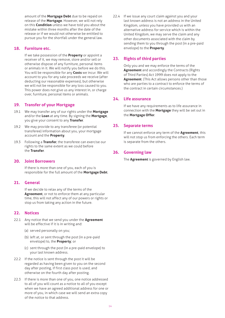amount of the **Mortgage Debt** due to be repaid on release of the **Mortgage**. However, we will not rely on this **Condition** unless we have told you about the mistake within three months after the date of the release or if we would not otherwise be entitled to pursue you for the shortfall under the general law.

#### **18. Furniture etc.**

 If we take possession of the **Property** or appoint a receiver of it, we may remove, store and/or sell or otherwise dispose of any furniture, personal items or animals in it. We will notify you before we do this. You will be responsible for any **Costs** we incur. We will account to you for any sale proceeds we receive (after deducting our reasonable expenses), but otherwise we will not be responsible for any loss caused to you. This power does not give us any interest in, or charge over, furniture, personal items or animals.

#### **19. Transfer of your Mortgage**

- 19.1 We may transfer any of our rights under the **Mortgage** and/or the **Loan** at any time. By signing the **Mortgage**, you give your consent to any **Transfer**.
- 19.2 We may provide to any transferee (or potential transferee) information about you, your mortgage account and the **Property**.
- 19.3 Following a **Transfer**, the transferee can exercise our rights to the same extent as we could before the **Transfer**.

#### **20. Joint Borrowers**

 If there is more than one of you, each of you is responsible for the full amount of the **Mortgage Debt**.

#### **21. General**

 If we decide to relax any of the terms of the **Agreement**, or not to enforce them at any particular time, this will not affect any of our powers or rights or stop us from taking any action in the future.

# **22. Notices**

- 22.1 Any notice that we send you under the **Agreement** will be effective if it is in writing and:
	- (a) served personally on you;
	- (b) left at, or sent through the post (in a pre-paid envelope) to, the **Property**; or
	- (c) sent through the post (in a pre-paid envelope) to your last known address.
- 22.2 If the notice is sent through the post it will be regarded as having been given to you on the second day after posting, if first class post is used, and otherwise on the fourth day after posting.
- 22.3 If there is more than one of you, one notice addressed to all of you will count as a notice to all of you except when we have an agreed additional address for one or more of you, in which case we will send an extra copy of the notice to that address.

22.4 If we issue any court claim against you and your last known address is not an address in the United Kingdom, unless you have provided us with an alternative address for service which is within the United Kingdom, we may serve the claim and any other documents associated with the claim by sending them to you through the post (in a pre-paid envelope) to the **Property**.

# **23. Rights of third parties**

 Only you and we may enforce the terms of the **Agreement** and accordingly the Contracts (Rights of Third Parties) Act 1999 does not apply to the **Agreement**. (This Act allows persons other than those who are parties to a contract to enforce the terms of the contract in certain circumstances.)

# **24. Life assurance**

 If we have any requirements as to life assurance in connection with the **Mortgage** they will be set out in the **Mortgage Offer**.

#### **25. Separate terms**

 If we cannot enforce any term of the **Agreement**, this will not stop us from enforcing the others. Each term is separate from the others.

# **26. Governing law**

The **Agreement** is governed by English law.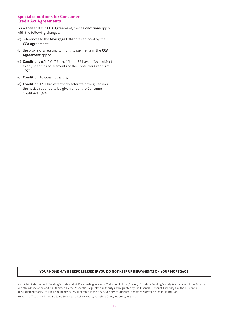#### **Special conditions for Consumer Credit Act Agreements**

For a **Loan** that is a **CCA Agreement**, these **Conditions** apply with the following changes:

- (a) references to the **Mortgage Offer** are replaced by the **CCA Agreement**;
- (b) the provisions relating to monthly payments in the **CCA Agreement** apply;
- (c) **Conditions** 6.5, 6.6, 7.3, 14, 15 and 22 have effect subject to any specific requirements of the Consumer Credit Act 1974;
- (d) **Condition** 10 does not apply;
- (e) **Condition** 13.1 has effect only after we have given you the notice required to be given under the Consumer Credit Act 1974.

#### **YOUR HOME MAY BE REPOSSESSED IF YOU DO NOT KEEP UP REPAYMENTS ON YOUR MORTGAGE.**

Norwich & Peterborough Building Society and N&P are trading names of Yorkshire Building Society. Yorkshire Building Society is a member of the Building Societies Association and is authorised by the Prudential Regulation Authority and regulated by the Financial Conduct Authority and the Prudential Regulation Authority. Yorkshire Building Society is entered in the Financial Services Register and its registration number is 106085. Principal office of Yorkshire Building Society: Yorkshire House, Yorkshire Drive, Bradford, BD5 8LJ.